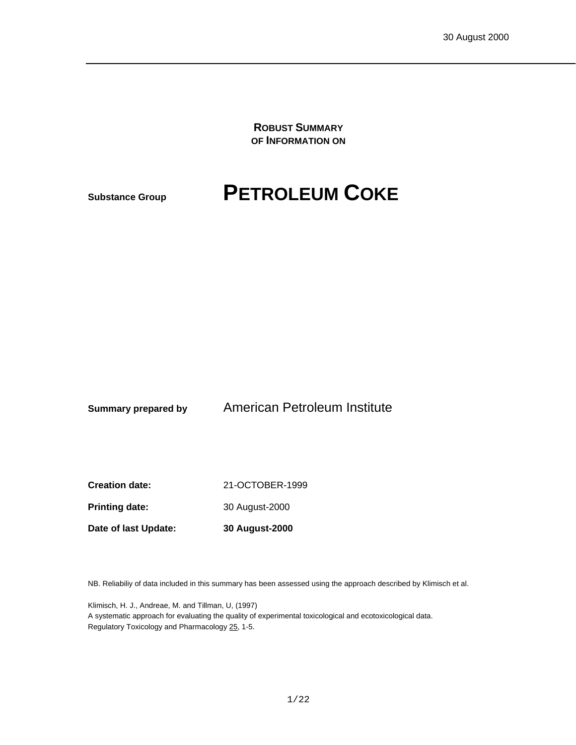**ROBUST SUMMARY OF INFORMATION ON**

# **Substance Group PETROLEUM COKE**

**Summary prepared by** American Petroleum Institute

**Creation date:** 21-OCTOBER-1999

Printing date: 30 August-2000

**Date of last Update: 30 August-2000**

NB. Reliabiliy of data included in this summary has been assessed using the approach described by Klimisch et al.

Klimisch, H. J., Andreae, M. and Tillman, U, (1997) A systematic approach for evaluating the quality of experimental toxicological and ecotoxicological data. Regulatory Toxicology and Pharmacology 25, 1-5.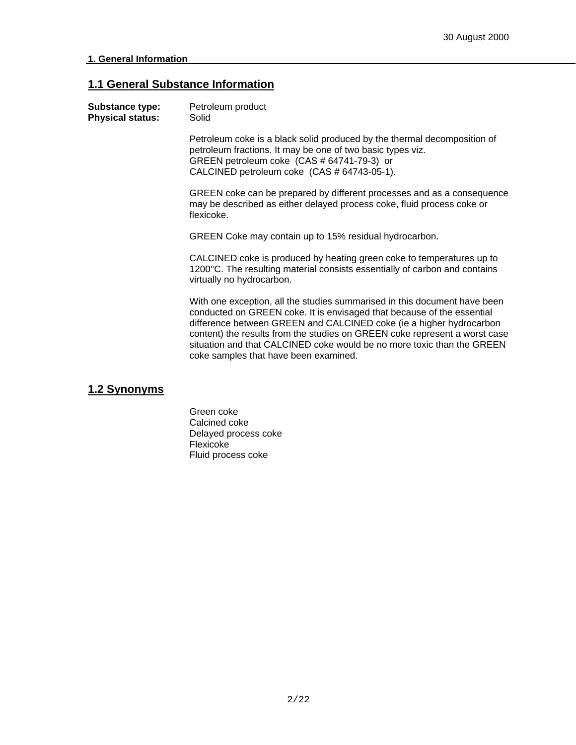### **1.1 General Substance Information**

| Substance type:<br><b>Physical status:</b> | Petroleum product<br>Solid                                                                                                                                                                                                                                                                                                                                                                                                  |
|--------------------------------------------|-----------------------------------------------------------------------------------------------------------------------------------------------------------------------------------------------------------------------------------------------------------------------------------------------------------------------------------------------------------------------------------------------------------------------------|
|                                            | Petroleum coke is a black solid produced by the thermal decomposition of<br>petroleum fractions. It may be one of two basic types viz.<br>GREEN petroleum coke (CAS # 64741-79-3) or<br>CALCINED petroleum coke (CAS # 64743-05-1).                                                                                                                                                                                         |
|                                            | GREEN coke can be prepared by different processes and as a consequence<br>may be described as either delayed process coke, fluid process coke or<br>flexicoke.                                                                                                                                                                                                                                                              |
|                                            | GREEN Coke may contain up to 15% residual hydrocarbon.                                                                                                                                                                                                                                                                                                                                                                      |
|                                            | CALCINED coke is produced by heating green coke to temperatures up to<br>1200°C. The resulting material consists essentially of carbon and contains<br>virtually no hydrocarbon.                                                                                                                                                                                                                                            |
|                                            | With one exception, all the studies summarised in this document have been<br>conducted on GREEN coke. It is envisaged that because of the essential<br>difference between GREEN and CALCINED coke (ie a higher hydrocarbon<br>content) the results from the studies on GREEN coke represent a worst case<br>situation and that CALCINED coke would be no more toxic than the GREEN<br>coke samples that have been examined. |
|                                            |                                                                                                                                                                                                                                                                                                                                                                                                                             |

## **1.2 Synonyms**

Green coke Calcined coke Delayed process coke Flexicoke Fluid process coke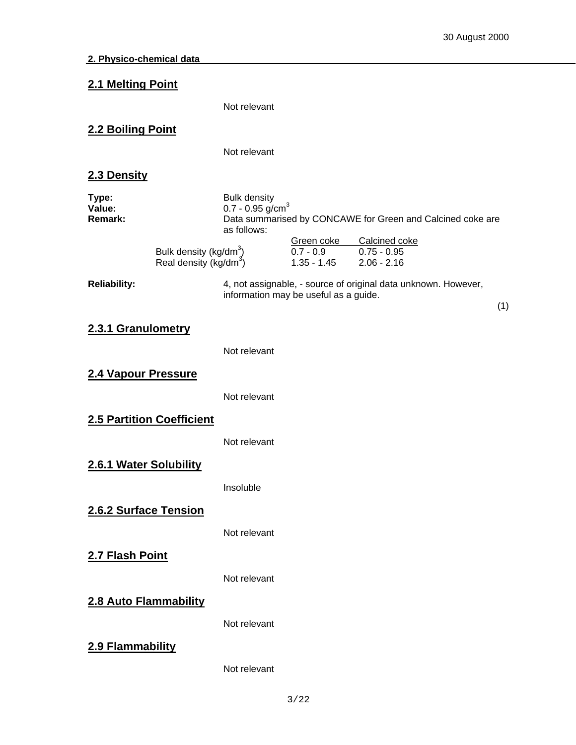| 2.1 Melting Point                 |                                                                          |                                                                      |                                            |                                                                                                               |     |
|-----------------------------------|--------------------------------------------------------------------------|----------------------------------------------------------------------|--------------------------------------------|---------------------------------------------------------------------------------------------------------------|-----|
|                                   |                                                                          | Not relevant                                                         |                                            |                                                                                                               |     |
| 2.2 Boiling Point                 |                                                                          |                                                                      |                                            |                                                                                                               |     |
|                                   |                                                                          | Not relevant                                                         |                                            |                                                                                                               |     |
| 2.3 Density                       |                                                                          |                                                                      |                                            |                                                                                                               |     |
| Type:<br>Value:<br><b>Remark:</b> | Bulk density (kg/dm <sup>3</sup> )<br>Real density (kg/dm <sup>3</sup> ) | <b>Bulk density</b><br>$0.7 - 0.95$ g/cm <sup>3</sup><br>as follows: | Green coke<br>$0.7 - 0.9$<br>$1.35 - 1.45$ | Data summarised by CONCAWE for Green and Calcined coke are<br>Calcined coke<br>$0.75 - 0.95$<br>$2.06 - 2.16$ |     |
| <b>Reliability:</b>               |                                                                          |                                                                      | information may be useful as a guide.      | 4, not assignable, - source of original data unknown. However,                                                |     |
|                                   |                                                                          |                                                                      |                                            |                                                                                                               | (1) |
| 2.3.1 Granulometry                |                                                                          | Not relevant                                                         |                                            |                                                                                                               |     |
| 2.4 Vapour Pressure               |                                                                          |                                                                      |                                            |                                                                                                               |     |
|                                   |                                                                          | Not relevant                                                         |                                            |                                                                                                               |     |
|                                   | 2.5 Partition Coefficient                                                |                                                                      |                                            |                                                                                                               |     |
|                                   |                                                                          | Not relevant                                                         |                                            |                                                                                                               |     |
| 2.6.1 Water Solubility            |                                                                          |                                                                      |                                            |                                                                                                               |     |
|                                   |                                                                          | Insoluble                                                            |                                            |                                                                                                               |     |
| 2.6.2 Surface Tension             |                                                                          | Not relevant                                                         |                                            |                                                                                                               |     |
| 2.7 Flash Point                   |                                                                          |                                                                      |                                            |                                                                                                               |     |
|                                   |                                                                          | Not relevant                                                         |                                            |                                                                                                               |     |
| 2.8 Auto Flammability             |                                                                          |                                                                      |                                            |                                                                                                               |     |
|                                   |                                                                          | Not relevant                                                         |                                            |                                                                                                               |     |
| 2.9 Flammability                  |                                                                          |                                                                      |                                            |                                                                                                               |     |
|                                   |                                                                          | Not relevant                                                         |                                            |                                                                                                               |     |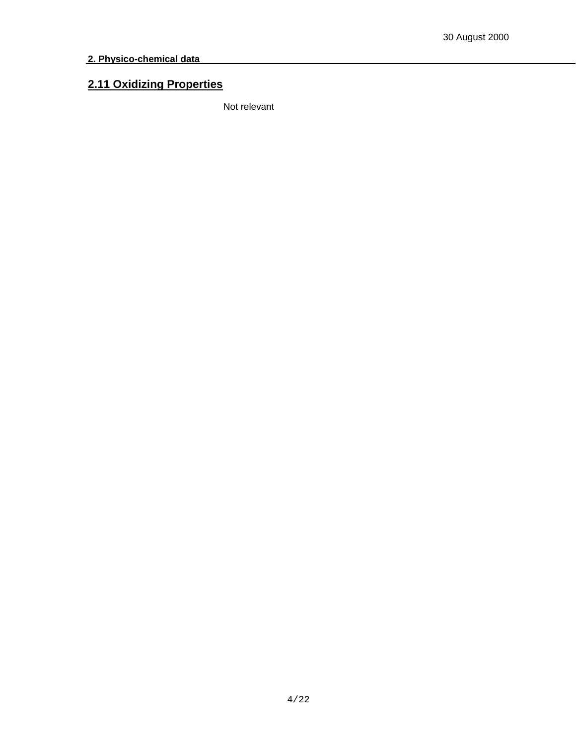## **2.11 Oxidizing Properties**

Not relevant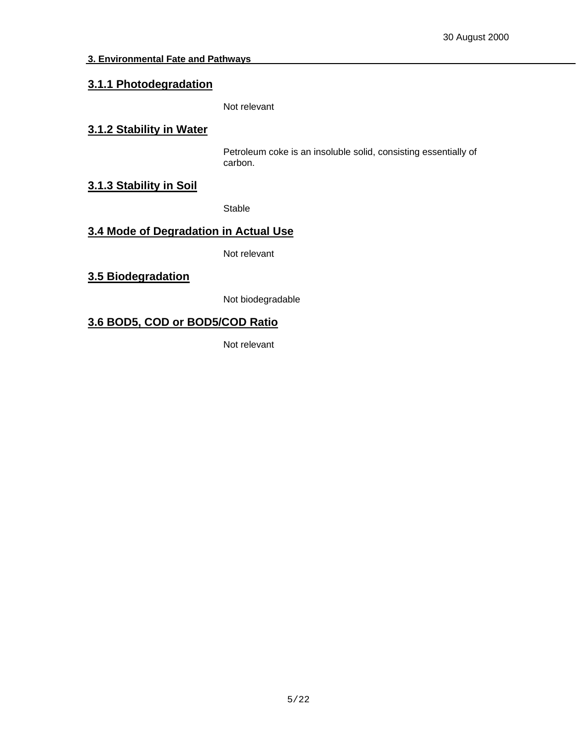## **3.1.1 Photodegradation**

Not relevant

#### **3.1.2 Stability in Water**

Petroleum coke is an insoluble solid, consisting essentially of carbon.

#### **3.1.3 Stability in Soil**

Stable

## **3.4 Mode of Degradation in Actual Use**

Not relevant

**3.5 Biodegradation**

Not biodegradable

## **3.6 BOD5, COD or BOD5/COD Ratio**

Not relevant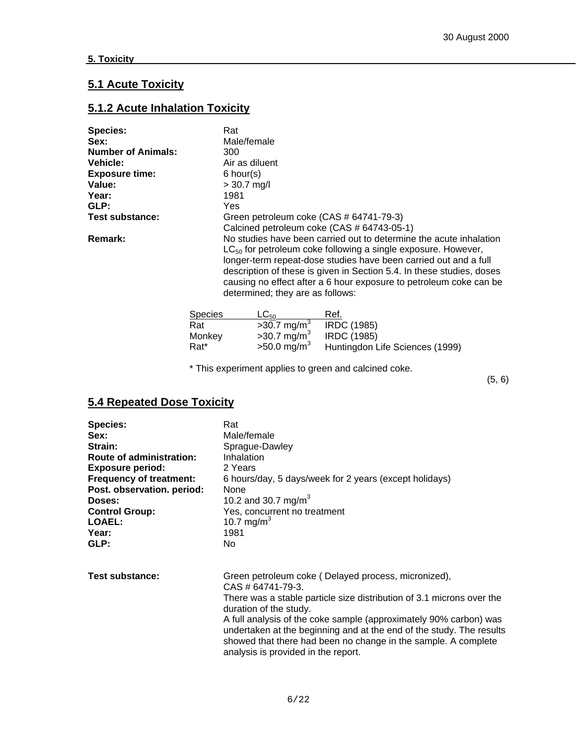## **5.1 Acute Toxicity**

## **5.1.2 Acute Inhalation Toxicity**

| <b>Species:</b>           | Rat                                                                   |
|---------------------------|-----------------------------------------------------------------------|
| Sex:                      | Male/female                                                           |
| <b>Number of Animals:</b> | 300                                                                   |
| <b>Vehicle:</b>           | Air as diluent                                                        |
| <b>Exposure time:</b>     | $6$ hour(s)                                                           |
| Value:                    | $> 30.7$ mg/l                                                         |
| Year:                     | 1981                                                                  |
| GLP:                      | Yes                                                                   |
| <b>Test substance:</b>    | Green petroleum coke (CAS # 64741-79-3)                               |
|                           | Calcined petroleum coke (CAS # 64743-05-1)                            |
| Remark:                   | No studies have been carried out to determine the acute inhalation    |
|                           | $LC_{50}$ for petroleum coke following a single exposure. However,    |
|                           | longer-term repeat-dose studies have been carried out and a full      |
|                           | description of these is given in Section 5.4. In these studies, doses |
|                           | causing no effect after a 6 hour exposure to petroleum coke can be    |
|                           | determined; they are as follows:                                      |
|                           |                                                                       |
|                           | $C_{\text{model}}$<br>$\sim$<br>D-f                                   |

| <b>Species</b>   | $LC_{50}$                 | Ref.                            |
|------------------|---------------------------|---------------------------------|
| Rat              | $>30.7$ mg/m <sup>3</sup> | <b>IRDC (1985)</b>              |
| Monkey           | $>30.7$ mg/m <sup>3</sup> | <b>IRDC (1985)</b>              |
| Rat <sup>*</sup> | $>50.0$ mg/m <sup>3</sup> | Huntingdon Life Sciences (1999) |

\* This experiment applies to green and calcined coke.

(5, 6)

## **5.4 Repeated Dose Toxicity**

| <b>Species:</b>                | Rat                                                                                                                                                                                                                                                                                                                                                                                                                                       |
|--------------------------------|-------------------------------------------------------------------------------------------------------------------------------------------------------------------------------------------------------------------------------------------------------------------------------------------------------------------------------------------------------------------------------------------------------------------------------------------|
| Sex:                           | Male/female                                                                                                                                                                                                                                                                                                                                                                                                                               |
| Strain:                        | Sprague-Dawley                                                                                                                                                                                                                                                                                                                                                                                                                            |
| Route of administration:       | Inhalation                                                                                                                                                                                                                                                                                                                                                                                                                                |
| <b>Exposure period:</b>        | 2 Years                                                                                                                                                                                                                                                                                                                                                                                                                                   |
| <b>Frequency of treatment:</b> | 6 hours/day, 5 days/week for 2 years (except holidays)                                                                                                                                                                                                                                                                                                                                                                                    |
| Post. observation. period:     | <b>None</b>                                                                                                                                                                                                                                                                                                                                                                                                                               |
| Doses:                         | 10.2 and 30.7 mg/m <sup>3</sup>                                                                                                                                                                                                                                                                                                                                                                                                           |
| <b>Control Group:</b>          | Yes, concurrent no treatment                                                                                                                                                                                                                                                                                                                                                                                                              |
| LOAEL:                         | 10.7 mg/m <sup>3</sup>                                                                                                                                                                                                                                                                                                                                                                                                                    |
| Year:                          | 1981                                                                                                                                                                                                                                                                                                                                                                                                                                      |
| GLP:                           | No.                                                                                                                                                                                                                                                                                                                                                                                                                                       |
| Test substance:                | Green petroleum coke (Delayed process, micronized),<br>$CAS \# 64741 - 79 - 3$ .<br>There was a stable particle size distribution of 3.1 microns over the<br>duration of the study.<br>A full analysis of the coke sample (approximately 90% carbon) was<br>undertaken at the beginning and at the end of the study. The results<br>showed that there had been no change in the sample. A complete<br>analysis is provided in the report. |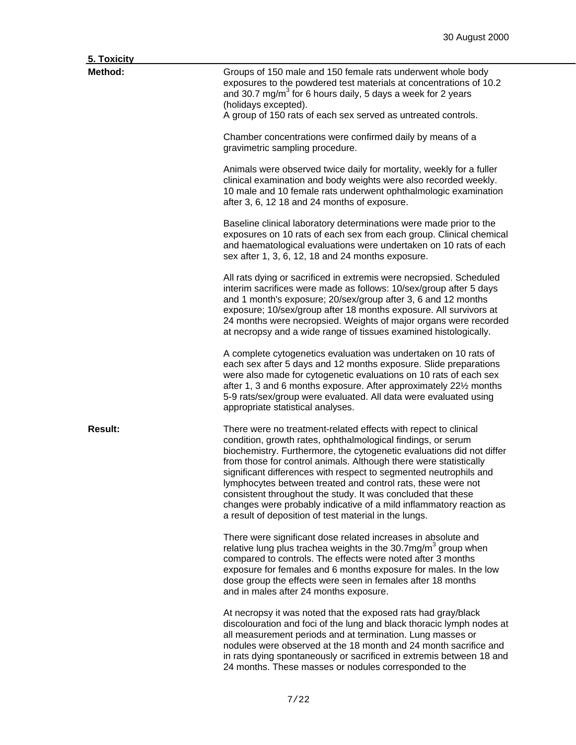|  | Toxicity |  |
|--|----------|--|
|  |          |  |

| <u>э. тохісіту</u> |                                                                                                                                                                                                                                                                                                                                                                                                                                                                                                                                                                                                                    |
|--------------------|--------------------------------------------------------------------------------------------------------------------------------------------------------------------------------------------------------------------------------------------------------------------------------------------------------------------------------------------------------------------------------------------------------------------------------------------------------------------------------------------------------------------------------------------------------------------------------------------------------------------|
| Method:            | Groups of 150 male and 150 female rats underwent whole body<br>exposures to the powdered test materials at concentrations of 10.2<br>and 30.7 mg/m <sup>3</sup> for 6 hours daily, 5 days a week for 2 years<br>(holidays excepted).<br>A group of 150 rats of each sex served as untreated controls.                                                                                                                                                                                                                                                                                                              |
|                    | Chamber concentrations were confirmed daily by means of a<br>gravimetric sampling procedure.                                                                                                                                                                                                                                                                                                                                                                                                                                                                                                                       |
|                    | Animals were observed twice daily for mortality, weekly for a fuller<br>clinical examination and body weights were also recorded weekly.<br>10 male and 10 female rats underwent ophthalmologic examination<br>after 3, 6, 12 18 and 24 months of exposure.                                                                                                                                                                                                                                                                                                                                                        |
|                    | Baseline clinical laboratory determinations were made prior to the<br>exposures on 10 rats of each sex from each group. Clinical chemical<br>and haematological evaluations were undertaken on 10 rats of each<br>sex after 1, 3, 6, 12, 18 and 24 months exposure.                                                                                                                                                                                                                                                                                                                                                |
|                    | All rats dying or sacrificed in extremis were necropsied. Scheduled<br>interim sacrifices were made as follows: 10/sex/group after 5 days<br>and 1 month's exposure; 20/sex/group after 3, 6 and 12 months<br>exposure; 10/sex/group after 18 months exposure. All survivors at<br>24 months were necropsied. Weights of major organs were recorded<br>at necropsy and a wide range of tissues examined histologically.                                                                                                                                                                                            |
|                    | A complete cytogenetics evaluation was undertaken on 10 rats of<br>each sex after 5 days and 12 months exposure. Slide preparations<br>were also made for cytogenetic evaluations on 10 rats of each sex<br>after 1, 3 and 6 months exposure. After approximately 221/2 months<br>5-9 rats/sex/group were evaluated. All data were evaluated using<br>appropriate statistical analyses.                                                                                                                                                                                                                            |
| <b>Result:</b>     | There were no treatment-related effects with repect to clinical<br>condition, growth rates, ophthalmological findings, or serum<br>biochemistry. Furthermore, the cytogenetic evaluations did not differ<br>from those for control animals. Although there were statistically<br>significant differences with respect to segmented neutrophils and<br>lymphocytes between treated and control rats, these were not<br>consistent throughout the study. It was concluded that these<br>changes were probably indicative of a mild inflammatory reaction as<br>a result of deposition of test material in the lungs. |
|                    | There were significant dose related increases in absolute and<br>relative lung plus trachea weights in the 30.7mg/m <sup>3</sup> group when<br>compared to controls. The effects were noted after 3 months<br>exposure for females and 6 months exposure for males. In the low<br>dose group the effects were seen in females after 18 months<br>and in males after 24 months exposure.                                                                                                                                                                                                                            |
|                    | At necropsy it was noted that the exposed rats had gray/black<br>discolouration and foci of the lung and black thoracic lymph nodes at<br>all measurement periods and at termination. Lung masses or<br>nodules were observed at the 18 month and 24 month sacrifice and<br>in rats dying spontaneously or sacrificed in extremis between 18 and<br>24 months. These masses or nodules corresponded to the                                                                                                                                                                                                         |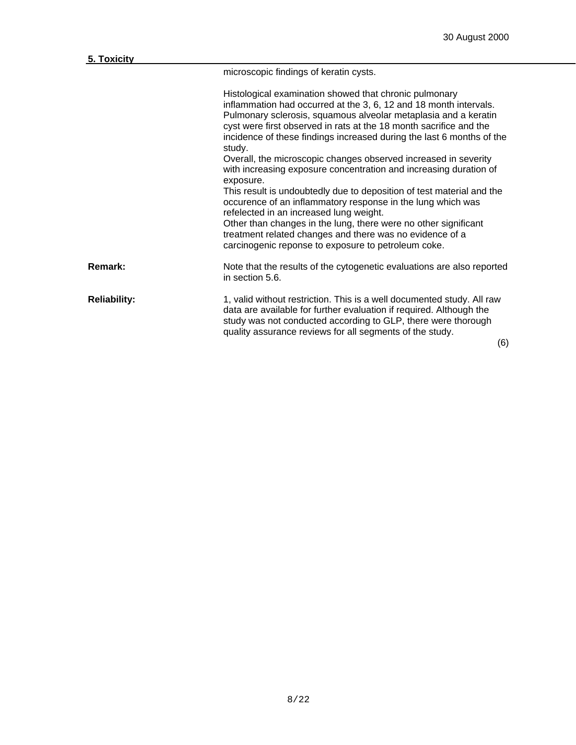microscopic findings of keratin cysts.

|                     | Histological examination showed that chronic pulmonary<br>inflammation had occurred at the 3, 6, 12 and 18 month intervals.<br>Pulmonary sclerosis, squamous alveolar metaplasia and a keratin<br>cyst were first observed in rats at the 18 month sacrifice and the<br>incidence of these findings increased during the last 6 months of the<br>study.<br>Overall, the microscopic changes observed increased in severity<br>with increasing exposure concentration and increasing duration of<br>exposure.<br>This result is undoubtedly due to deposition of test material and the<br>occurence of an inflammatory response in the lung which was<br>refelected in an increased lung weight.<br>Other than changes in the lung, there were no other significant<br>treatment related changes and there was no evidence of a<br>carcinogenic reponse to exposure to petroleum coke. |
|---------------------|---------------------------------------------------------------------------------------------------------------------------------------------------------------------------------------------------------------------------------------------------------------------------------------------------------------------------------------------------------------------------------------------------------------------------------------------------------------------------------------------------------------------------------------------------------------------------------------------------------------------------------------------------------------------------------------------------------------------------------------------------------------------------------------------------------------------------------------------------------------------------------------|
| <b>Remark:</b>      | Note that the results of the cytogenetic evaluations are also reported<br>in section 5.6.                                                                                                                                                                                                                                                                                                                                                                                                                                                                                                                                                                                                                                                                                                                                                                                             |
| <b>Reliability:</b> | 1, valid without restriction. This is a well documented study. All raw<br>data are available for further evaluation if required. Although the<br>study was not conducted according to GLP, there were thorough<br>quality assurance reviews for all segments of the study.<br>(6)                                                                                                                                                                                                                                                                                                                                                                                                                                                                                                                                                                                                     |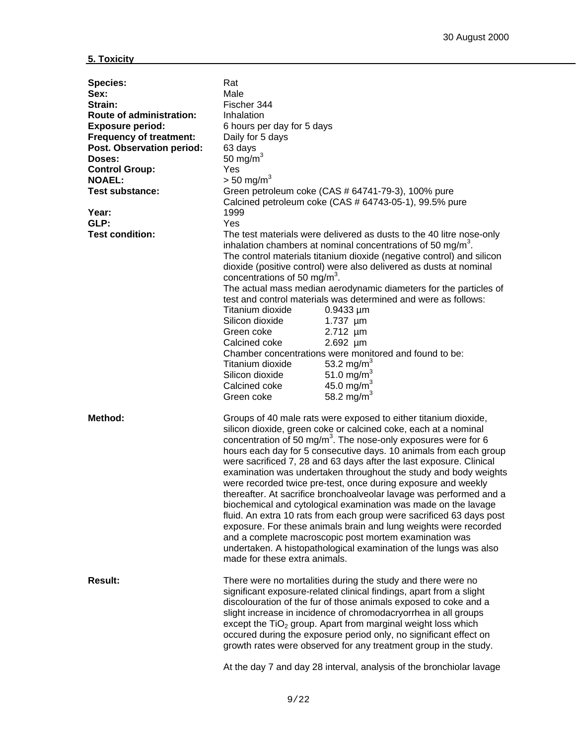| <b>Species:</b><br>Sex:<br>Strain:<br><b>Route of administration:</b><br><b>Exposure period:</b><br><b>Frequency of treatment:</b><br>Post. Observation period:<br>Doses:<br><b>Control Group:</b><br><b>NOAEL:</b><br><b>Test substance:</b><br>Year:<br>GLP:<br><b>Test condition:</b> | Rat<br>Male<br>Fischer 344<br>Inhalation<br>6 hours per day for 5 days<br>Daily for 5 days<br>63 days<br>50 mg/ $m3$<br>Yes<br>$> 50$ mg/m <sup>3</sup><br>1999<br>Yes<br>concentrations of 50 mg/m <sup>3</sup> .<br>Titanium dioxide<br>Silicon dioxide<br>Green coke<br>Calcined coke<br>Titanium dioxide<br>Silicon dioxide<br>Calcined coke<br>Green coke | Green petroleum coke (CAS # 64741-79-3), 100% pure<br>Calcined petroleum coke (CAS # 64743-05-1), 99.5% pure<br>The test materials were delivered as dusts to the 40 litre nose-only<br>inhalation chambers at nominal concentrations of 50 mg/m <sup>3</sup> .<br>The control materials titanium dioxide (negative control) and silicon<br>dioxide (positive control) were also delivered as dusts at nominal<br>The actual mass median aerodynamic diameters for the particles of<br>test and control materials was determined and were as follows:<br>$0.9433 \mu m$<br>1.737 µm<br>2.712 µm<br>2.692 µm<br>Chamber concentrations were monitored and found to be:<br>53.2 mg/m <sup>3</sup><br>51.0 mg/m <sup>3</sup><br>45.0 mg/m <sup>3</sup><br>58.2 mg/m <sup>3</sup>                                                                                                                                         |
|------------------------------------------------------------------------------------------------------------------------------------------------------------------------------------------------------------------------------------------------------------------------------------------|----------------------------------------------------------------------------------------------------------------------------------------------------------------------------------------------------------------------------------------------------------------------------------------------------------------------------------------------------------------|-----------------------------------------------------------------------------------------------------------------------------------------------------------------------------------------------------------------------------------------------------------------------------------------------------------------------------------------------------------------------------------------------------------------------------------------------------------------------------------------------------------------------------------------------------------------------------------------------------------------------------------------------------------------------------------------------------------------------------------------------------------------------------------------------------------------------------------------------------------------------------------------------------------------------|
| Method:                                                                                                                                                                                                                                                                                  | made for these extra animals.                                                                                                                                                                                                                                                                                                                                  | Groups of 40 male rats were exposed to either titanium dioxide,<br>silicon dioxide, green coke or calcined coke, each at a nominal<br>concentration of 50 mg/m <sup>3</sup> . The nose-only exposures were for 6<br>hours each day for 5 consecutive days. 10 animals from each group<br>were sacrificed 7, 28 and 63 days after the last exposure. Clinical<br>examination was undertaken throughout the study and body weights<br>were recorded twice pre-test, once during exposure and weekly<br>thereafter. At sacrifice bronchoalveolar lavage was performed and a<br>biochemical and cytological examination was made on the lavage<br>fluid. An extra 10 rats from each group were sacrificed 63 days post<br>exposure. For these animals brain and lung weights were recorded<br>and a complete macroscopic post mortem examination was<br>undertaken. A histopathological examination of the lungs was also |
| <b>Result:</b>                                                                                                                                                                                                                                                                           |                                                                                                                                                                                                                                                                                                                                                                | There were no mortalities during the study and there were no<br>significant exposure-related clinical findings, apart from a slight<br>discolouration of the fur of those animals exposed to coke and a<br>slight increase in incidence of chromodacryorrhea in all groups<br>except the $TiO2$ group. Apart from marginal weight loss which<br>occured during the exposure period only, no significant effect on<br>growth rates were observed for any treatment group in the study.<br>At the day 7 and day 28 interval, analysis of the bronchiolar lavage                                                                                                                                                                                                                                                                                                                                                         |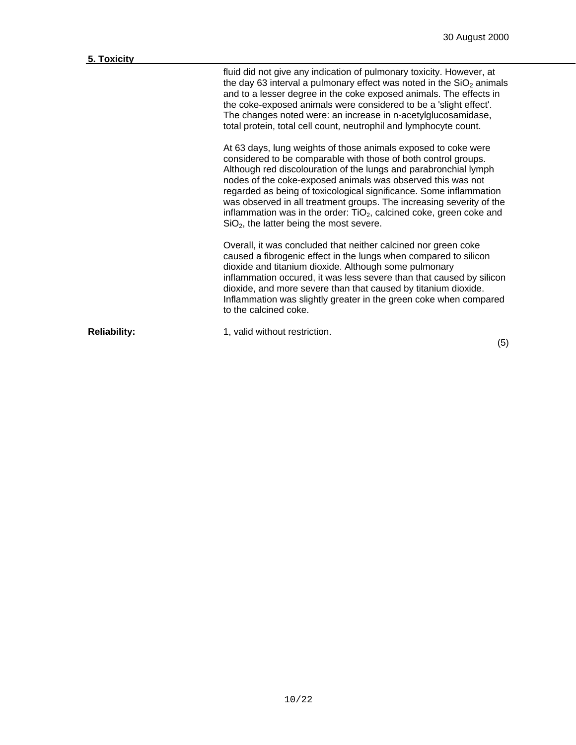| 5. Toxicity         |                                                                                                                                                                                                                                                                                                                                                                                                                                                                                                                                          |
|---------------------|------------------------------------------------------------------------------------------------------------------------------------------------------------------------------------------------------------------------------------------------------------------------------------------------------------------------------------------------------------------------------------------------------------------------------------------------------------------------------------------------------------------------------------------|
|                     | fluid did not give any indication of pulmonary toxicity. However, at<br>the day 63 interval a pulmonary effect was noted in the $SiO2$ animals<br>and to a lesser degree in the coke exposed animals. The effects in<br>the coke-exposed animals were considered to be a 'slight effect'.<br>The changes noted were: an increase in n-acetylglucosamidase,<br>total protein, total cell count, neutrophil and lymphocyte count.                                                                                                          |
|                     | At 63 days, lung weights of those animals exposed to coke were<br>considered to be comparable with those of both control groups.<br>Although red discolouration of the lungs and parabronchial lymph<br>nodes of the coke-exposed animals was observed this was not<br>regarded as being of toxicological significance. Some inflammation<br>was observed in all treatment groups. The increasing severity of the<br>inflammation was in the order: $TiO2$ , calcined coke, green coke and<br>$SiO2$ , the latter being the most severe. |
|                     | Overall, it was concluded that neither calcined nor green coke<br>caused a fibrogenic effect in the lungs when compared to silicon<br>dioxide and titanium dioxide. Although some pulmonary<br>inflammation occured, it was less severe than that caused by silicon<br>dioxide, and more severe than that caused by titanium dioxide.<br>Inflammation was slightly greater in the green coke when compared<br>to the calcined coke.                                                                                                      |
| <b>Reliability:</b> | 1, valid without restriction.                                                                                                                                                                                                                                                                                                                                                                                                                                                                                                            |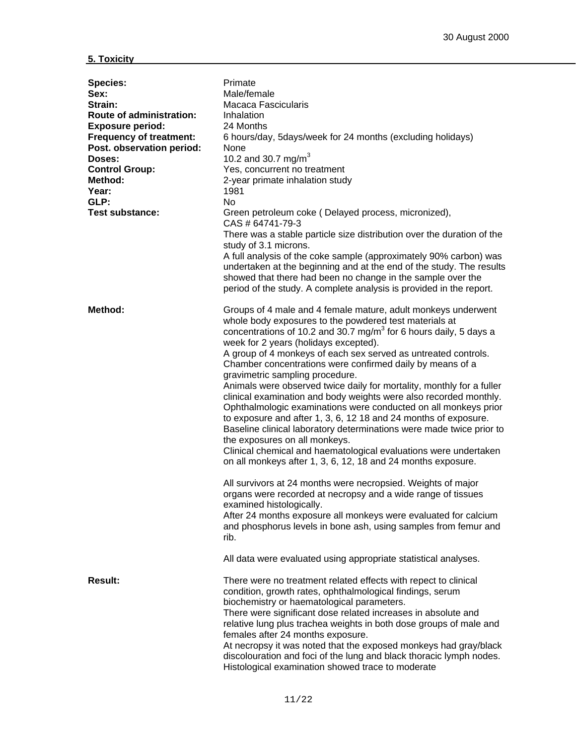| <b>Species:</b><br>Sex:<br>Strain:<br>Route of administration:<br><b>Exposure period:</b><br><b>Frequency of treatment:</b><br>Post. observation period:<br>Doses:<br><b>Control Group:</b><br>Method:<br>Year:<br>GLP:<br><b>Test substance:</b> | Primate<br>Male/female<br>Macaca Fascicularis<br>Inhalation<br>24 Months<br>6 hours/day, 5days/week for 24 months (excluding holidays)<br>None<br>10.2 and 30.7 mg/m <sup>3</sup><br>Yes, concurrent no treatment<br>2-year primate inhalation study<br>1981<br>N <sub>o</sub><br>Green petroleum coke (Delayed process, micronized),<br>CAS # 64741-79-3<br>There was a stable particle size distribution over the duration of the<br>study of 3.1 microns.<br>A full analysis of the coke sample (approximately 90% carbon) was<br>undertaken at the beginning and at the end of the study. The results<br>showed that there had been no change in the sample over the<br>period of the study. A complete analysis is provided in the report.                                                                                                                                                                                                                                                                                                                                                                                                                                                                                                                |
|---------------------------------------------------------------------------------------------------------------------------------------------------------------------------------------------------------------------------------------------------|----------------------------------------------------------------------------------------------------------------------------------------------------------------------------------------------------------------------------------------------------------------------------------------------------------------------------------------------------------------------------------------------------------------------------------------------------------------------------------------------------------------------------------------------------------------------------------------------------------------------------------------------------------------------------------------------------------------------------------------------------------------------------------------------------------------------------------------------------------------------------------------------------------------------------------------------------------------------------------------------------------------------------------------------------------------------------------------------------------------------------------------------------------------------------------------------------------------------------------------------------------------|
| Method:                                                                                                                                                                                                                                           | Groups of 4 male and 4 female mature, adult monkeys underwent<br>whole body exposures to the powdered test materials at<br>concentrations of 10.2 and 30.7 mg/m <sup>3</sup> for 6 hours daily, 5 days a<br>week for 2 years (holidays excepted).<br>A group of 4 monkeys of each sex served as untreated controls.<br>Chamber concentrations were confirmed daily by means of a<br>gravimetric sampling procedure.<br>Animals were observed twice daily for mortality, monthly for a fuller<br>clinical examination and body weights were also recorded monthly.<br>Ophthalmologic examinations were conducted on all monkeys prior<br>to exposure and after 1, 3, 6, 12 18 and 24 months of exposure.<br>Baseline clinical laboratory determinations were made twice prior to<br>the exposures on all monkeys.<br>Clinical chemical and haematological evaluations were undertaken<br>on all monkeys after 1, 3, 6, 12, 18 and 24 months exposure.<br>All survivors at 24 months were necropsied. Weights of major<br>organs were recorded at necropsy and a wide range of tissues<br>examined histologically.<br>After 24 months exposure all monkeys were evaluated for calcium<br>and phosphorus levels in bone ash, using samples from femur and<br>rib. |
|                                                                                                                                                                                                                                                   | All data were evaluated using appropriate statistical analyses.                                                                                                                                                                                                                                                                                                                                                                                                                                                                                                                                                                                                                                                                                                                                                                                                                                                                                                                                                                                                                                                                                                                                                                                                |
| <b>Result:</b>                                                                                                                                                                                                                                    | There were no treatment related effects with repect to clinical<br>condition, growth rates, ophthalmological findings, serum<br>biochemistry or haematological parameters.<br>There were significant dose related increases in absolute and<br>relative lung plus trachea weights in both dose groups of male and<br>females after 24 months exposure.<br>At necropsy it was noted that the exposed monkeys had gray/black<br>discolouration and foci of the lung and black thoracic lymph nodes.<br>Histological examination showed trace to moderate                                                                                                                                                                                                                                                                                                                                                                                                                                                                                                                                                                                                                                                                                                         |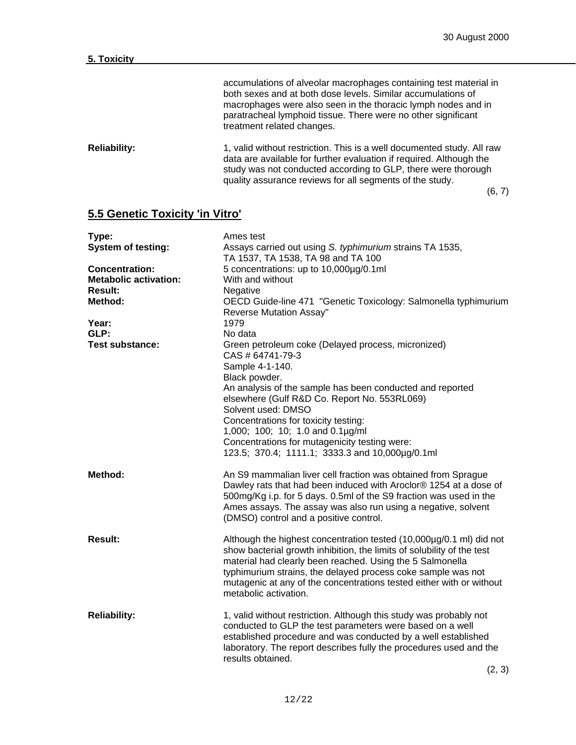| <b>Reliability:</b> | 1, valid without restriction. This is a well documented study. All raw |
|---------------------|------------------------------------------------------------------------|
|                     | data are available for further evaluation if required. Although the    |
|                     | study was not conducted according to GLP, there were thorough          |
|                     | quality assurance reviews for all segments of the study.               |

(6, 7)

## **5.5 Genetic Toxicity 'in Vitro'**

| Type:                        | Ames test                                                              |  |  |  |  |
|------------------------------|------------------------------------------------------------------------|--|--|--|--|
| <b>System of testing:</b>    | Assays carried out using S. typhimurium strains TA 1535,               |  |  |  |  |
|                              | TA 1537, TA 1538, TA 98 and TA 100                                     |  |  |  |  |
| <b>Concentration:</b>        | 5 concentrations: up to 10,000µg/0.1ml                                 |  |  |  |  |
| <b>Metabolic activation:</b> | With and without                                                       |  |  |  |  |
| <b>Result:</b>               | Negative                                                               |  |  |  |  |
| Method:                      | OECD Guide-line 471 "Genetic Toxicology: Salmonella typhimurium        |  |  |  |  |
|                              | Reverse Mutation Assay"                                                |  |  |  |  |
| Year:                        | 1979                                                                   |  |  |  |  |
| GLP:                         | No data                                                                |  |  |  |  |
| <b>Test substance:</b>       | Green petroleum coke (Delayed process, micronized)                     |  |  |  |  |
|                              | CAS # 64741-79-3                                                       |  |  |  |  |
|                              | Sample 4-1-140.                                                        |  |  |  |  |
|                              | Black powder.                                                          |  |  |  |  |
|                              | An analysis of the sample has been conducted and reported              |  |  |  |  |
|                              | elsewhere (Gulf R&D Co. Report No. 553RL069)                           |  |  |  |  |
|                              | Solvent used: DMSO                                                     |  |  |  |  |
|                              | Concentrations for toxicity testing:                                   |  |  |  |  |
|                              | 1,000; 100; 10; 1.0 and 0.1µg/ml                                       |  |  |  |  |
|                              | Concentrations for mutagenicity testing were:                          |  |  |  |  |
|                              | 123.5; 370.4; 1111.1; 3333.3 and 10,000µg/0.1ml                        |  |  |  |  |
|                              |                                                                        |  |  |  |  |
| Method:                      | An S9 mammalian liver cell fraction was obtained from Sprague          |  |  |  |  |
|                              | Dawley rats that had been induced with Aroclor® 1254 at a dose of      |  |  |  |  |
|                              | 500mg/Kg i.p. for 5 days. 0.5ml of the S9 fraction was used in the     |  |  |  |  |
|                              | Ames assays. The assay was also run using a negative, solvent          |  |  |  |  |
|                              | (DMSO) control and a positive control.                                 |  |  |  |  |
|                              |                                                                        |  |  |  |  |
| <b>Result:</b>               | Although the highest concentration tested (10,000µg/0.1 ml) did not    |  |  |  |  |
|                              | show bacterial growth inhibition, the limits of solubility of the test |  |  |  |  |
|                              | material had clearly been reached. Using the 5 Salmonella              |  |  |  |  |
|                              | typhimurium strains, the delayed process coke sample was not           |  |  |  |  |
|                              | mutagenic at any of the concentrations tested either with or without   |  |  |  |  |
|                              | metabolic activation.                                                  |  |  |  |  |
|                              |                                                                        |  |  |  |  |
| <b>Reliability:</b>          | 1, valid without restriction. Although this study was probably not     |  |  |  |  |
|                              | conducted to GLP the test parameters were based on a well              |  |  |  |  |
|                              | established procedure and was conducted by a well established          |  |  |  |  |
|                              | laboratory. The report describes fully the procedures used and the     |  |  |  |  |
|                              | results obtained.                                                      |  |  |  |  |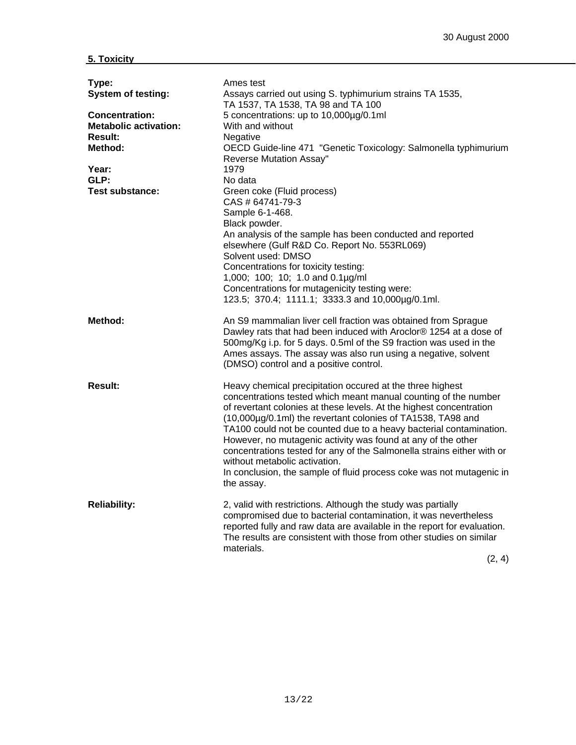| Type:<br><b>System of testing:</b><br><b>Concentration:</b><br><b>Metabolic activation:</b><br>Result:<br>Method:<br>Year:<br>GLP:<br><b>Test substance:</b> | Ames test<br>Assays carried out using S. typhimurium strains TA 1535,<br>TA 1537, TA 1538, TA 98 and TA 100<br>5 concentrations: up to 10,000µg/0.1ml<br>With and without<br>Negative<br>OECD Guide-line 471 "Genetic Toxicology: Salmonella typhimurium<br>Reverse Mutation Assay"<br>1979<br>No data<br>Green coke (Fluid process)<br>CAS # 64741-79-3<br>Sample 6-1-468.<br>Black powder.<br>An analysis of the sample has been conducted and reported<br>elsewhere (Gulf R&D Co. Report No. 553RL069)<br>Solvent used: DMSO<br>Concentrations for toxicity testing:<br>1,000; 100; 10; 1.0 and 0.1µg/ml<br>Concentrations for mutagenicity testing were:<br>123.5; 370.4; 1111.1; 3333.3 and 10,000µg/0.1ml. |
|--------------------------------------------------------------------------------------------------------------------------------------------------------------|------------------------------------------------------------------------------------------------------------------------------------------------------------------------------------------------------------------------------------------------------------------------------------------------------------------------------------------------------------------------------------------------------------------------------------------------------------------------------------------------------------------------------------------------------------------------------------------------------------------------------------------------------------------------------------------------------------------|
| Method:                                                                                                                                                      | An S9 mammalian liver cell fraction was obtained from Sprague<br>Dawley rats that had been induced with Aroclor® 1254 at a dose of<br>500mg/Kg i.p. for 5 days. 0.5ml of the S9 fraction was used in the<br>Ames assays. The assay was also run using a negative, solvent<br>(DMSO) control and a positive control.                                                                                                                                                                                                                                                                                                                                                                                              |
| <b>Result:</b>                                                                                                                                               | Heavy chemical precipitation occured at the three highest<br>concentrations tested which meant manual counting of the number<br>of revertant colonies at these levels. At the highest concentration<br>(10,000µg/0.1ml) the revertant colonies of TA1538, TA98 and<br>TA100 could not be counted due to a heavy bacterial contamination.<br>However, no mutagenic activity was found at any of the other<br>concentrations tested for any of the Salmonella strains either with or<br>without metabolic activation.<br>In conclusion, the sample of fluid process coke was not mutagenic in<br>the assay.                                                                                                        |
| <b>Reliability:</b>                                                                                                                                          | 2, valid with restrictions. Although the study was partially<br>compromised due to bacterial contamination, it was nevertheless<br>reported fully and raw data are available in the report for evaluation.<br>The results are consistent with those from other studies on similar<br>materials.<br>(2, 4)                                                                                                                                                                                                                                                                                                                                                                                                        |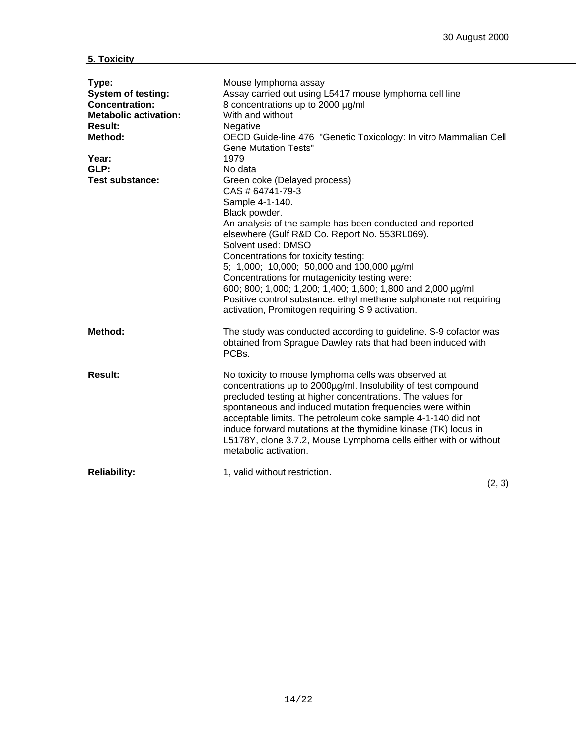| Type:<br><b>System of testing:</b><br><b>Concentration:</b><br><b>Metabolic activation:</b><br><b>Result:</b><br>Method:<br>Year:<br>GLP:<br><b>Test substance:</b> | Mouse lymphoma assay<br>Assay carried out using L5417 mouse lymphoma cell line<br>8 concentrations up to 2000 µg/ml<br>With and without<br>Negative<br>OECD Guide-line 476 "Genetic Toxicology: In vitro Mammalian Cell<br><b>Gene Mutation Tests"</b><br>1979<br>No data<br>Green coke (Delayed process)<br>CAS # 64741-79-3<br>Sample 4-1-140.<br>Black powder.<br>An analysis of the sample has been conducted and reported<br>elsewhere (Gulf R&D Co. Report No. 553RL069).<br>Solvent used: DMSO<br>Concentrations for toxicity testing:<br>5; 1,000; 10,000; 50,000 and 100,000 µg/ml<br>Concentrations for mutagenicity testing were:<br>600; 800; 1,000; 1,200; 1,400; 1,600; 1,800 and 2,000 µg/ml<br>Positive control substance: ethyl methane sulphonate not requiring<br>activation, Promitogen requiring S 9 activation. |
|---------------------------------------------------------------------------------------------------------------------------------------------------------------------|---------------------------------------------------------------------------------------------------------------------------------------------------------------------------------------------------------------------------------------------------------------------------------------------------------------------------------------------------------------------------------------------------------------------------------------------------------------------------------------------------------------------------------------------------------------------------------------------------------------------------------------------------------------------------------------------------------------------------------------------------------------------------------------------------------------------------------------|
| Method:                                                                                                                                                             | The study was conducted according to guideline. S-9 cofactor was<br>obtained from Sprague Dawley rats that had been induced with<br>PCBs.                                                                                                                                                                                                                                                                                                                                                                                                                                                                                                                                                                                                                                                                                             |
| Result:                                                                                                                                                             | No toxicity to mouse lymphoma cells was observed at<br>concentrations up to 2000µg/ml. Insolubility of test compound<br>precluded testing at higher concentrations. The values for<br>spontaneous and induced mutation frequencies were within<br>acceptable limits. The petroleum coke sample 4-1-140 did not<br>induce forward mutations at the thymidine kinase (TK) locus in<br>L5178Y, clone 3.7.2, Mouse Lymphoma cells either with or without<br>metabolic activation.                                                                                                                                                                                                                                                                                                                                                         |
| <b>Reliability:</b>                                                                                                                                                 | 1, valid without restriction.<br>$\sim$                                                                                                                                                                                                                                                                                                                                                                                                                                                                                                                                                                                                                                                                                                                                                                                               |

(2, 3)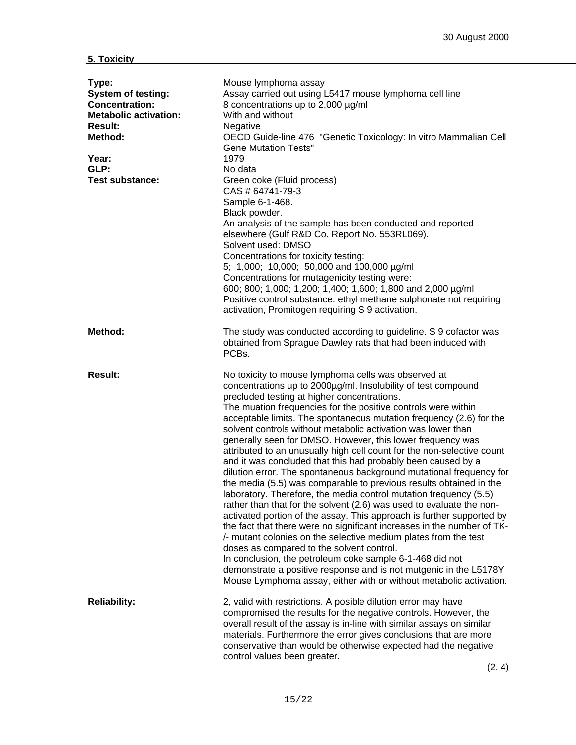| Type:<br><b>System of testing:</b><br><b>Concentration:</b><br><b>Metabolic activation:</b><br><b>Result:</b><br>Method:<br>Year:<br>GLP:<br><b>Test substance:</b> | Mouse lymphoma assay<br>Assay carried out using L5417 mouse lymphoma cell line<br>8 concentrations up to 2,000 µg/ml<br>With and without<br>Negative<br>OECD Guide-line 476 "Genetic Toxicology: In vitro Mammalian Cell<br><b>Gene Mutation Tests"</b><br>1979<br>No data<br>Green coke (Fluid process)<br>CAS # 64741-79-3<br>Sample 6-1-468.<br>Black powder.<br>An analysis of the sample has been conducted and reported<br>elsewhere (Gulf R&D Co. Report No. 553RL069).<br>Solvent used: DMSO<br>Concentrations for toxicity testing:<br>5; 1,000; 10,000; 50,000 and 100,000 µg/ml<br>Concentrations for mutagenicity testing were:<br>600; 800; 1,000; 1,200; 1,400; 1,600; 1,800 and 2,000 µg/ml<br>Positive control substance: ethyl methane sulphonate not requiring<br>activation, Promitogen requiring S 9 activation.                                                                                                                                                                                                                                                                                                                                                                                                                                                                                                                    |
|---------------------------------------------------------------------------------------------------------------------------------------------------------------------|---------------------------------------------------------------------------------------------------------------------------------------------------------------------------------------------------------------------------------------------------------------------------------------------------------------------------------------------------------------------------------------------------------------------------------------------------------------------------------------------------------------------------------------------------------------------------------------------------------------------------------------------------------------------------------------------------------------------------------------------------------------------------------------------------------------------------------------------------------------------------------------------------------------------------------------------------------------------------------------------------------------------------------------------------------------------------------------------------------------------------------------------------------------------------------------------------------------------------------------------------------------------------------------------------------------------------------------------------------|
| Method:                                                                                                                                                             | The study was conducted according to guideline. S 9 cofactor was<br>obtained from Sprague Dawley rats that had been induced with<br>PCBs.                                                                                                                                                                                                                                                                                                                                                                                                                                                                                                                                                                                                                                                                                                                                                                                                                                                                                                                                                                                                                                                                                                                                                                                                               |
| <b>Result:</b>                                                                                                                                                      | No toxicity to mouse lymphoma cells was observed at<br>concentrations up to 2000µg/ml. Insolubility of test compound<br>precluded testing at higher concentrations.<br>The muation frequencies for the positive controls were within<br>acceptable limits. The spontaneous mutation frequency (2.6) for the<br>solvent controls without metabolic activation was lower than<br>generally seen for DMSO. However, this lower frequency was<br>attributed to an unusually high cell count for the non-selective count<br>and it was concluded that this had probably been caused by a<br>dilution error. The spontaneous background mutational frequency for<br>the media (5.5) was comparable to previous results obtained in the<br>laboratory. Therefore, the media control mutation frequency (5.5)<br>rather than that for the solvent (2.6) was used to evaluate the non-<br>activated portion of the assay. This approach is further supported by<br>the fact that there were no significant increases in the number of TK-<br>/- mutant colonies on the selective medium plates from the test<br>doses as compared to the solvent control.<br>In conclusion, the petroleum coke sample 6-1-468 did not<br>demonstrate a positive response and is not mutgenic in the L5178Y<br>Mouse Lymphoma assay, either with or without metabolic activation. |
| <b>Reliability:</b>                                                                                                                                                 | 2, valid with restrictions. A posible dilution error may have<br>compromised the results for the negative controls. However, the<br>overall result of the assay is in-line with similar assays on similar<br>materials. Furthermore the error gives conclusions that are more<br>conservative than would be otherwise expected had the negative<br>control values been greater.                                                                                                                                                                                                                                                                                                                                                                                                                                                                                                                                                                                                                                                                                                                                                                                                                                                                                                                                                                         |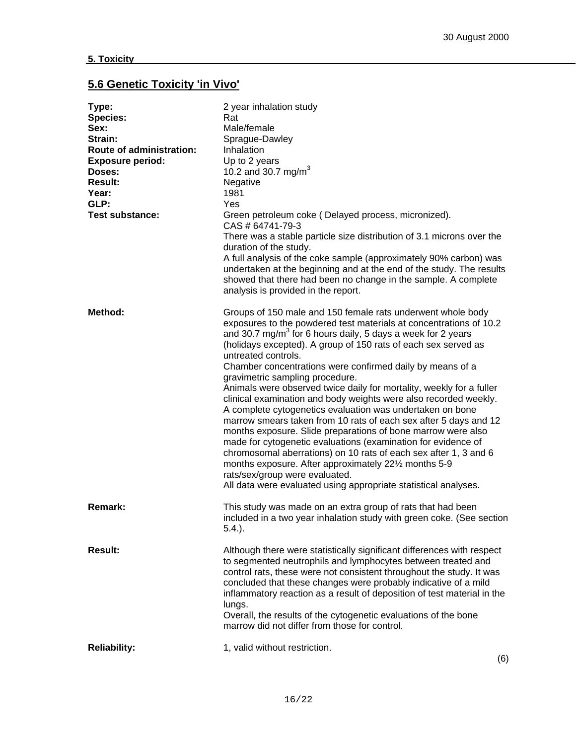## **5.6 Genetic Toxicity 'in Vivo'**

| Type:<br><b>Species:</b><br>Sex:<br>Strain:<br><b>Route of administration:</b><br><b>Exposure period:</b><br>Doses:<br><b>Result:</b><br>Year:<br>GLP:<br><b>Test substance:</b> | 2 year inhalation study<br>Rat<br>Male/female<br>Sprague-Dawley<br>Inhalation<br>Up to 2 years<br>10.2 and 30.7 mg/m <sup>3</sup><br>Negative<br>1981<br>Yes<br>Green petroleum coke (Delayed process, micronized).<br>CAS # 64741-79-3<br>There was a stable particle size distribution of 3.1 microns over the<br>duration of the study.<br>A full analysis of the coke sample (approximately 90% carbon) was<br>undertaken at the beginning and at the end of the study. The results<br>showed that there had been no change in the sample. A complete<br>analysis is provided in the report.                                                                                                                                                                                                                                                                                                                                                                                                                                                      |
|----------------------------------------------------------------------------------------------------------------------------------------------------------------------------------|-------------------------------------------------------------------------------------------------------------------------------------------------------------------------------------------------------------------------------------------------------------------------------------------------------------------------------------------------------------------------------------------------------------------------------------------------------------------------------------------------------------------------------------------------------------------------------------------------------------------------------------------------------------------------------------------------------------------------------------------------------------------------------------------------------------------------------------------------------------------------------------------------------------------------------------------------------------------------------------------------------------------------------------------------------|
| Method:                                                                                                                                                                          | Groups of 150 male and 150 female rats underwent whole body<br>exposures to the powdered test materials at concentrations of 10.2<br>and 30.7 mg/m <sup>3</sup> for 6 hours daily, 5 days a week for 2 years<br>(holidays excepted). A group of 150 rats of each sex served as<br>untreated controls.<br>Chamber concentrations were confirmed daily by means of a<br>gravimetric sampling procedure.<br>Animals were observed twice daily for mortality, weekly for a fuller<br>clinical examination and body weights were also recorded weekly.<br>A complete cytogenetics evaluation was undertaken on bone<br>marrow smears taken from 10 rats of each sex after 5 days and 12<br>months exposure. Slide preparations of bone marrow were also<br>made for cytogenetic evaluations (examination for evidence of<br>chromosomal aberrations) on 10 rats of each sex after 1, 3 and 6<br>months exposure. After approximately 221/2 months 5-9<br>rats/sex/group were evaluated.<br>All data were evaluated using appropriate statistical analyses. |
| <b>Remark:</b>                                                                                                                                                                   | This study was made on an extra group of rats that had been<br>included in a two year inhalation study with green coke. (See section<br>$5.4.$ ).                                                                                                                                                                                                                                                                                                                                                                                                                                                                                                                                                                                                                                                                                                                                                                                                                                                                                                     |
| <b>Result:</b>                                                                                                                                                                   | Although there were statistically significant differences with respect<br>to segmented neutrophils and lymphocytes between treated and<br>control rats, these were not consistent throughout the study. It was<br>concluded that these changes were probably indicative of a mild<br>inflammatory reaction as a result of deposition of test material in the<br>lungs.<br>Overall, the results of the cytogenetic evaluations of the bone<br>marrow did not differ from those for control.                                                                                                                                                                                                                                                                                                                                                                                                                                                                                                                                                            |
| <b>Reliability:</b>                                                                                                                                                              | 1, valid without restriction.<br>(6)                                                                                                                                                                                                                                                                                                                                                                                                                                                                                                                                                                                                                                                                                                                                                                                                                                                                                                                                                                                                                  |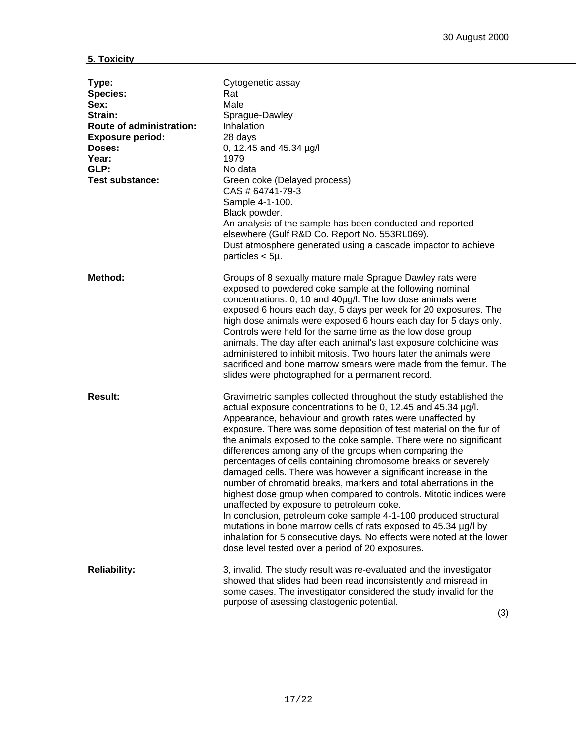| Type:<br><b>Species:</b><br>Sex:<br>Strain:<br><b>Route of administration:</b><br><b>Exposure period:</b><br>Doses:<br>Year:<br>GLP:<br><b>Test substance:</b> | Cytogenetic assay<br>Rat<br>Male<br>Sprague-Dawley<br>Inhalation<br>28 days<br>0, 12.45 and 45.34 µg/l<br>1979<br>No data<br>Green coke (Delayed process)<br>CAS # 64741-79-3<br>Sample 4-1-100.<br>Black powder.<br>An analysis of the sample has been conducted and reported<br>elsewhere (Gulf R&D Co. Report No. 553RL069).<br>Dust atmosphere generated using a cascade impactor to achieve<br>particles $< 5\mu$ .                                                                                                                                                                                                                                                                                                                                                                                                                                                                                                                                                                            |
|----------------------------------------------------------------------------------------------------------------------------------------------------------------|-----------------------------------------------------------------------------------------------------------------------------------------------------------------------------------------------------------------------------------------------------------------------------------------------------------------------------------------------------------------------------------------------------------------------------------------------------------------------------------------------------------------------------------------------------------------------------------------------------------------------------------------------------------------------------------------------------------------------------------------------------------------------------------------------------------------------------------------------------------------------------------------------------------------------------------------------------------------------------------------------------|
| Method:                                                                                                                                                        | Groups of 8 sexually mature male Sprague Dawley rats were<br>exposed to powdered coke sample at the following nominal<br>concentrations: 0, 10 and 40µg/l. The low dose animals were<br>exposed 6 hours each day, 5 days per week for 20 exposures. The<br>high dose animals were exposed 6 hours each day for 5 days only.<br>Controls were held for the same time as the low dose group<br>animals. The day after each animal's last exposure colchicine was<br>administered to inhibit mitosis. Two hours later the animals were<br>sacrificed and bone marrow smears were made from the femur. The<br>slides were photographed for a permanent record.                                                                                                                                                                                                                                                                                                                                          |
| <b>Result:</b>                                                                                                                                                 | Gravimetric samples collected throughout the study established the<br>actual exposure concentrations to be 0, 12.45 and 45.34 µg/l.<br>Appearance, behaviour and growth rates were unaffected by<br>exposure. There was some deposition of test material on the fur of<br>the animals exposed to the coke sample. There were no significant<br>differences among any of the groups when comparing the<br>percentages of cells containing chromosome breaks or severely<br>damaged cells. There was however a significant increase in the<br>number of chromatid breaks, markers and total aberrations in the<br>highest dose group when compared to controls. Mitotic indices were<br>unaffected by exposure to petroleum coke.<br>In conclusion, petroleum coke sample 4-1-100 produced structural<br>mutations in bone marrow cells of rats exposed to 45.34 µg/l by<br>inhalation for 5 consecutive days. No effects were noted at the lower<br>dose level tested over a period of 20 exposures. |
| <b>Reliability:</b>                                                                                                                                            | 3, invalid. The study result was re-evaluated and the investigator<br>showed that slides had been read inconsistently and misread in<br>some cases. The investigator considered the study invalid for the<br>purpose of asessing clastogenic potential.                                                                                                                                                                                                                                                                                                                                                                                                                                                                                                                                                                                                                                                                                                                                             |

(3)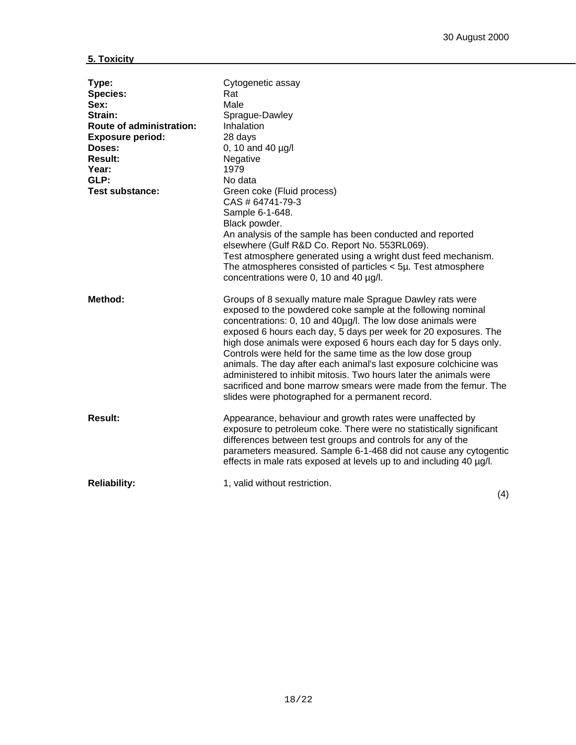| Type:<br><b>Species:</b><br>Sex:<br>Strain:<br>Route of administration:<br><b>Exposure period:</b><br>Doses:<br><b>Result:</b><br>Year:<br>GLP:<br><b>Test substance:</b> | Cytogenetic assay<br>Rat<br>Male<br>Sprague-Dawley<br>Inhalation<br>28 days<br>0, 10 and 40 $\mu$ g/l<br>Negative<br>1979<br>No data<br>Green coke (Fluid process)<br>CAS # 64741-79-3<br>Sample 6-1-648.<br>Black powder.<br>An analysis of the sample has been conducted and reported<br>elsewhere (Gulf R&D Co. Report No. 553RL069).<br>Test atmosphere generated using a wright dust feed mechanism.<br>The atmospheres consisted of particles $<$ 5µ. Test atmosphere<br>concentrations were 0, 10 and 40 µg/l.                                                                                                                                          |
|---------------------------------------------------------------------------------------------------------------------------------------------------------------------------|----------------------------------------------------------------------------------------------------------------------------------------------------------------------------------------------------------------------------------------------------------------------------------------------------------------------------------------------------------------------------------------------------------------------------------------------------------------------------------------------------------------------------------------------------------------------------------------------------------------------------------------------------------------|
| Method:                                                                                                                                                                   | Groups of 8 sexually mature male Sprague Dawley rats were<br>exposed to the powdered coke sample at the following nominal<br>concentrations: 0, 10 and 40µg/l. The low dose animals were<br>exposed 6 hours each day, 5 days per week for 20 exposures. The<br>high dose animals were exposed 6 hours each day for 5 days only.<br>Controls were held for the same time as the low dose group<br>animals. The day after each animal's last exposure colchicine was<br>administered to inhibit mitosis. Two hours later the animals were<br>sacrificed and bone marrow smears were made from the femur. The<br>slides were photographed for a permanent record. |
| <b>Result:</b>                                                                                                                                                            | Appearance, behaviour and growth rates were unaffected by<br>exposure to petroleum coke. There were no statistically significant<br>differences between test groups and controls for any of the<br>parameters measured. Sample 6-1-468 did not cause any cytogentic<br>effects in male rats exposed at levels up to and including 40 µg/l.                                                                                                                                                                                                                                                                                                                     |
| <b>Reliability:</b>                                                                                                                                                       | 1, valid without restriction.<br>(4)                                                                                                                                                                                                                                                                                                                                                                                                                                                                                                                                                                                                                           |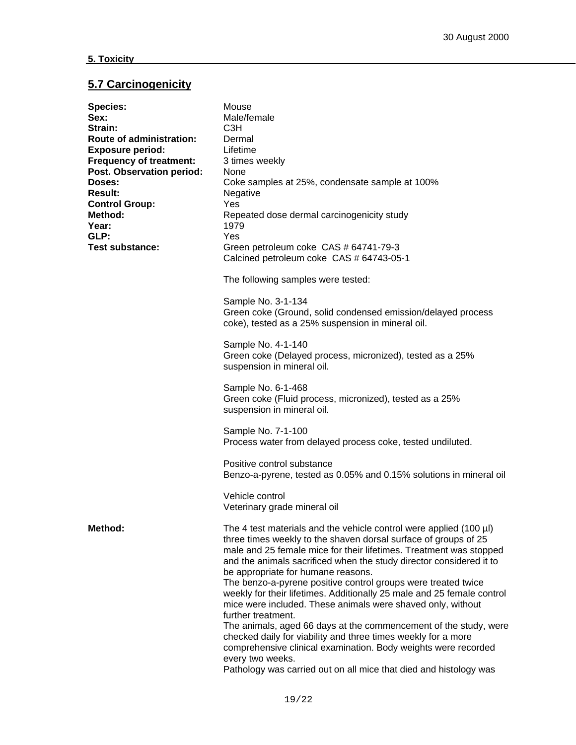## **5.7 Carcinogenicity**

| <b>Species:</b>                | Mouse                                                                   |  |  |  |  |  |
|--------------------------------|-------------------------------------------------------------------------|--|--|--|--|--|
| Sex:                           | Male/female                                                             |  |  |  |  |  |
| Strain:                        | C <sub>3</sub> H                                                        |  |  |  |  |  |
| Route of administration:       | Dermal                                                                  |  |  |  |  |  |
| <b>Exposure period:</b>        | Lifetime                                                                |  |  |  |  |  |
| <b>Frequency of treatment:</b> | 3 times weekly                                                          |  |  |  |  |  |
| Post. Observation period:      | <b>None</b>                                                             |  |  |  |  |  |
| Doses:                         | Coke samples at 25%, condensate sample at 100%                          |  |  |  |  |  |
| <b>Result:</b>                 | Negative                                                                |  |  |  |  |  |
|                                |                                                                         |  |  |  |  |  |
| <b>Control Group:</b>          | Yes                                                                     |  |  |  |  |  |
| Method:                        | Repeated dose dermal carcinogenicity study                              |  |  |  |  |  |
| Year:                          | 1979                                                                    |  |  |  |  |  |
| GLP:                           | Yes                                                                     |  |  |  |  |  |
| <b>Test substance:</b>         | Green petroleum coke CAS # 64741-79-3                                   |  |  |  |  |  |
|                                | Calcined petroleum coke CAS # 64743-05-1                                |  |  |  |  |  |
|                                | The following samples were tested:                                      |  |  |  |  |  |
|                                |                                                                         |  |  |  |  |  |
|                                | Sample No. 3-1-134                                                      |  |  |  |  |  |
|                                | Green coke (Ground, solid condensed emission/delayed process            |  |  |  |  |  |
|                                | coke), tested as a 25% suspension in mineral oil.                       |  |  |  |  |  |
|                                |                                                                         |  |  |  |  |  |
|                                | Sample No. 4-1-140                                                      |  |  |  |  |  |
|                                | Green coke (Delayed process, micronized), tested as a 25%               |  |  |  |  |  |
|                                | suspension in mineral oil.                                              |  |  |  |  |  |
|                                | Sample No. 6-1-468                                                      |  |  |  |  |  |
|                                | Green coke (Fluid process, micronized), tested as a 25%                 |  |  |  |  |  |
|                                | suspension in mineral oil.                                              |  |  |  |  |  |
|                                |                                                                         |  |  |  |  |  |
|                                | Sample No. 7-1-100                                                      |  |  |  |  |  |
|                                | Process water from delayed process coke, tested undiluted.              |  |  |  |  |  |
|                                | Positive control substance                                              |  |  |  |  |  |
|                                | Benzo-a-pyrene, tested as 0.05% and 0.15% solutions in mineral oil      |  |  |  |  |  |
|                                |                                                                         |  |  |  |  |  |
|                                | Vehicle control                                                         |  |  |  |  |  |
|                                | Veterinary grade mineral oil                                            |  |  |  |  |  |
|                                |                                                                         |  |  |  |  |  |
| Method:                        | The 4 test materials and the vehicle control were applied (100 $\mu$ l) |  |  |  |  |  |
|                                | three times weekly to the shaven dorsal surface of groups of 25         |  |  |  |  |  |
|                                | male and 25 female mice for their lifetimes. Treatment was stopped      |  |  |  |  |  |
|                                | and the animals sacrificed when the study director considered it to     |  |  |  |  |  |
|                                | be appropriate for humane reasons.                                      |  |  |  |  |  |
|                                | The benzo-a-pyrene positive control groups were treated twice           |  |  |  |  |  |
|                                | weekly for their lifetimes. Additionally 25 male and 25 female control  |  |  |  |  |  |
|                                | mice were included. These animals were shaved only, without             |  |  |  |  |  |
|                                | further treatment.                                                      |  |  |  |  |  |
|                                | The animals, aged 66 days at the commencement of the study, were        |  |  |  |  |  |
|                                | checked daily for viability and three times weekly for a more           |  |  |  |  |  |
|                                | comprehensive clinical examination. Body weights were recorded          |  |  |  |  |  |
|                                | every two weeks.                                                        |  |  |  |  |  |
|                                | Pathology was carried out on all mice that died and histology was       |  |  |  |  |  |
|                                |                                                                         |  |  |  |  |  |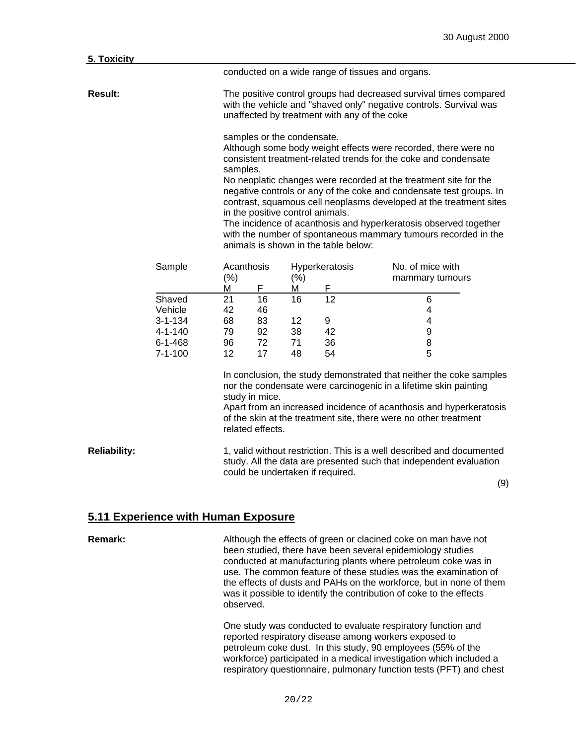| 5. Toxicity         |                                                     |                                                                                                                                                                                                                                                                                                                         |                                                                                                                                                                                                                                                                                                                                                                                                                                                                                                                                                                                                                |                |                                  |                                                                                                                                             |  |
|---------------------|-----------------------------------------------------|-------------------------------------------------------------------------------------------------------------------------------------------------------------------------------------------------------------------------------------------------------------------------------------------------------------------------|----------------------------------------------------------------------------------------------------------------------------------------------------------------------------------------------------------------------------------------------------------------------------------------------------------------------------------------------------------------------------------------------------------------------------------------------------------------------------------------------------------------------------------------------------------------------------------------------------------------|----------------|----------------------------------|---------------------------------------------------------------------------------------------------------------------------------------------|--|
|                     |                                                     |                                                                                                                                                                                                                                                                                                                         |                                                                                                                                                                                                                                                                                                                                                                                                                                                                                                                                                                                                                |                |                                  | conducted on a wide range of tissues and organs.                                                                                            |  |
| <b>Result:</b>      |                                                     | The positive control groups had decreased survival times compared<br>with the vehicle and "shaved only" negative controls. Survival was<br>unaffected by treatment with any of the coke                                                                                                                                 |                                                                                                                                                                                                                                                                                                                                                                                                                                                                                                                                                                                                                |                |                                  |                                                                                                                                             |  |
|                     |                                                     |                                                                                                                                                                                                                                                                                                                         | samples or the condensate.<br>Although some body weight effects were recorded, there were no<br>consistent treatment-related trends for the coke and condensate<br>samples.<br>No neoplatic changes were recorded at the treatment site for the<br>negative controls or any of the coke and condensate test groups. In<br>contrast, squamous cell neoplasms developed at the treatment sites<br>in the positive control animals.<br>The incidence of acanthosis and hyperkeratosis observed together<br>with the number of spontaneous mammary tumours recorded in the<br>animals is shown in the table below: |                |                                  |                                                                                                                                             |  |
|                     | Sample                                              | Acanthosis                                                                                                                                                                                                                                                                                                              |                                                                                                                                                                                                                                                                                                                                                                                                                                                                                                                                                                                                                |                | Hyperkeratosis                   | No. of mice with                                                                                                                            |  |
|                     |                                                     | $(\%)$<br>Μ                                                                                                                                                                                                                                                                                                             | F                                                                                                                                                                                                                                                                                                                                                                                                                                                                                                                                                                                                              | $(\%)$<br>М    | F                                | mammary tumours                                                                                                                             |  |
|                     | Shaved<br>Vehicle<br>$3 - 1 - 134$<br>$4 - 1 - 140$ | 21<br>42<br>68<br>79                                                                                                                                                                                                                                                                                                    | 16<br>46<br>83<br>92                                                                                                                                                                                                                                                                                                                                                                                                                                                                                                                                                                                           | 16<br>12<br>38 | 12<br>9<br>42                    | 6<br>4<br>4<br>9                                                                                                                            |  |
|                     | $6 - 1 - 468$<br>$7 - 1 - 100$                      | 96<br>12 <sup>2</sup>                                                                                                                                                                                                                                                                                                   | 72<br>17                                                                                                                                                                                                                                                                                                                                                                                                                                                                                                                                                                                                       | 71<br>48       | 36<br>54                         | 8<br>5                                                                                                                                      |  |
|                     |                                                     | In conclusion, the study demonstrated that neither the coke samples<br>nor the condensate were carcinogenic in a lifetime skin painting<br>study in mice.<br>Apart from an increased incidence of acanthosis and hyperkeratosis<br>of the skin at the treatment site, there were no other treatment<br>related effects. |                                                                                                                                                                                                                                                                                                                                                                                                                                                                                                                                                                                                                |                |                                  |                                                                                                                                             |  |
| <b>Reliability:</b> |                                                     |                                                                                                                                                                                                                                                                                                                         |                                                                                                                                                                                                                                                                                                                                                                                                                                                                                                                                                                                                                |                | could be undertaken if required. | 1, valid without restriction. This is a well described and documented<br>study. All the data are presented such that independent evaluation |  |

(9)

### **5.11 Experience with Human Exposure**

**Remark:** Although the effects of green or clacined coke on man have not been studied, there have been several epidemiology studies conducted at manufacturing plants where petroleum coke was in use. The common feature of these studies was the examination of the effects of dusts and PAHs on the workforce, but in none of them was it possible to identify the contribution of coke to the effects observed.

> One study was conducted to evaluate respiratory function and reported respiratory disease among workers exposed to petroleum coke dust. In this study, 90 employees (55% of the workforce) participated in a medical investigation which included a respiratory questionnaire, pulmonary function tests (PFT) and chest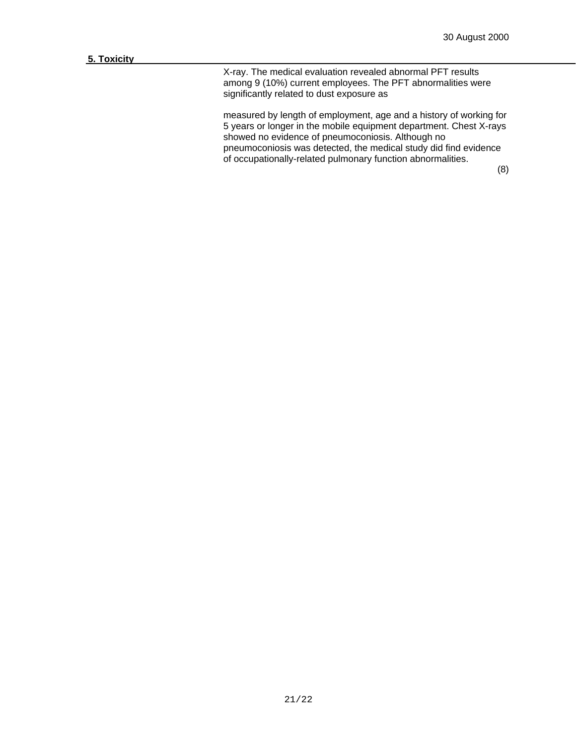X-ray. The medical evaluation revealed abnormal PFT results among 9 (10%) current employees. The PFT abnormalities were significantly related to dust exposure as

measured by length of employment, age and a history of working for 5 years or longer in the mobile equipment department. Chest X-rays showed no evidence of pneumoconiosis. Although no pneumoconiosis was detected, the medical study did find evidence of occupationally-related pulmonary function abnormalities.

(8)